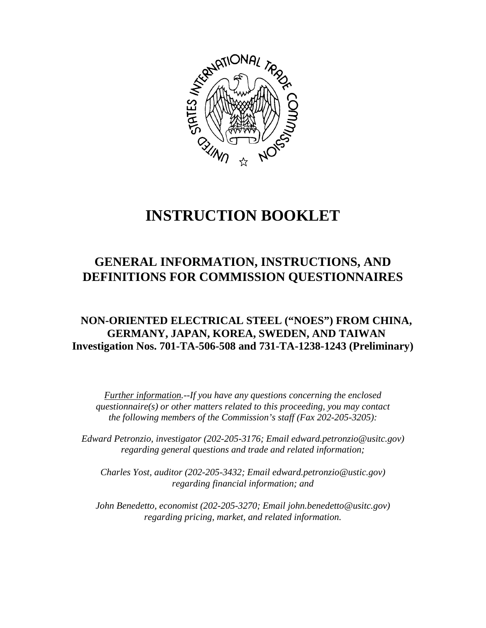

# **INSTRUCTION BOOKLET**

## **GENERAL INFORMATION, INSTRUCTIONS, AND DEFINITIONS FOR COMMISSION QUESTIONNAIRES**

## **NON-ORIENTED ELECTRICAL STEEL ("NOES") FROM CHINA, GERMANY, JAPAN, KOREA, SWEDEN, AND TAIWAN Investigation Nos. 701-TA-506-508 and 731-TA-1238-1243 (Preliminary)**

*Further information.--If you have any questions concerning the enclosed questionnaire(s) or other matters related to this proceeding, you may contact the following members of the Commission's staff (Fax 202-205-3205):*

 *Edward Petronzio, investigator (202-205-3176; Email edward.petronzio@usitc.gov) regarding general questions and trade and related information;*

*Charles Yost, auditor (202-205-3432; Email edward.petronzio@ustic.gov) regarding financial information; and*

*John Benedetto, economist (202-205-3270; Email john.benedetto@usitc.gov) regarding pricing, market, and related information.*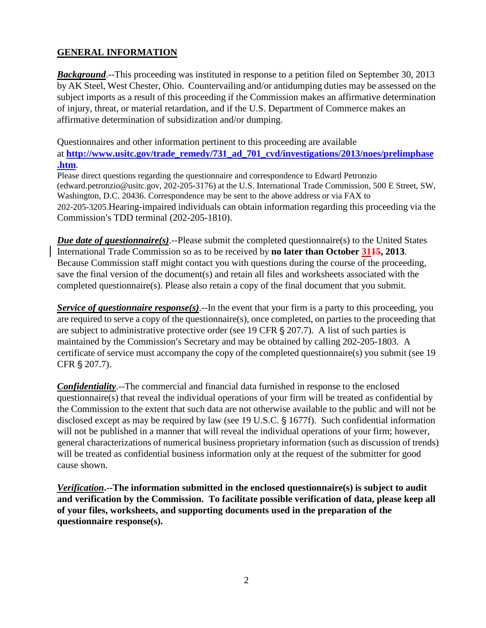## **GENERAL INFORMATION**

**Background.**--This proceeding was instituted in response to a petition filed on September 30, 2013 by AK Steel, West Chester, Ohio. Countervailing and/or antidumping duties may be assessed on the subject imports as a result of this proceeding if the Commission makes an affirmative determination of injury, threat, or material retardation, and if the U.S. Department of Commerce makes an affirmative determination of subsidization and/or dumping.

Questionnaires and other information pertinent to this proceeding are available at **[http://www.usitc.gov/trade\\_remedy/731\\_ad\\_701\\_cvd/investigations/2013/noes/prelimphase](http://www.usitc.gov/trade_remedy/731_ad_701_cvd/investigations/2013/noes/prelimphase.htm) [.htm](http://www.usitc.gov/trade_remedy/731_ad_701_cvd/investigations/2013/noes/prelimphase.htm)**.

Please direct questions regarding the questionnaire and correspondence to Edward Petronzio (edward.petronzio@usitc.gov, 202-205-3176) at the U.S. International Trade Commission, 500 E Street, SW, Washington, D.C. 20436. Correspondence may be sent to the above address or via FAX to 202-205-3205.Hearing-impaired individuals can obtain information regarding this proceeding via the Commission's TDD terminal (202-205-1810).

*Due date of questionnaire(s)*.--Please submit the completed questionnaire(s) to the United States International Trade Commission so as to be received by **no later than October 3115, 2013**. Because Commission staff might contact you with questions during the course of the proceeding, save the final version of the document(s) and retain all files and worksheets associated with the completed questionnaire(s). Please also retain a copy of the final document that you submit.

*Service of questionnaire response(s)*.--In the event that your firm is a party to this proceeding, you are required to serve a copy of the questionnaire(s), once completed, on parties to the proceeding that are subject to administrative protective order (see 19 CFR  $\S 207.7$ ). A list of such parties is maintained by the Commission's Secretary and may be obtained by calling 202-205-1803. A certificate of service must accompany the copy of the completed questionnaire(s) you submit (see 19 CFR § 207.7).

*Confidentiality*.--The commercial and financial data furnished in response to the enclosed questionnaire(s) that reveal the individual operations of your firm will be treated as confidential by the Commission to the extent that such data are not otherwise available to the public and will not be disclosed except as may be required by law (see  $19$  U.S.C.  $\S$  1677f). Such confidential information will not be published in a manner that will reveal the individual operations of your firm; however, general characterizations of numerical business proprietary information (such as discussion of trends) will be treated as confidential business information only at the request of the submitter for good cause shown.

*Verification***.--The information submitted in the enclosed questionnaire(s) is subject to audit and verification by the Commission. To facilitate possible verification of data, please keep all of your files, worksheets, and supporting documents used in the preparation of the questionnaire response(s).**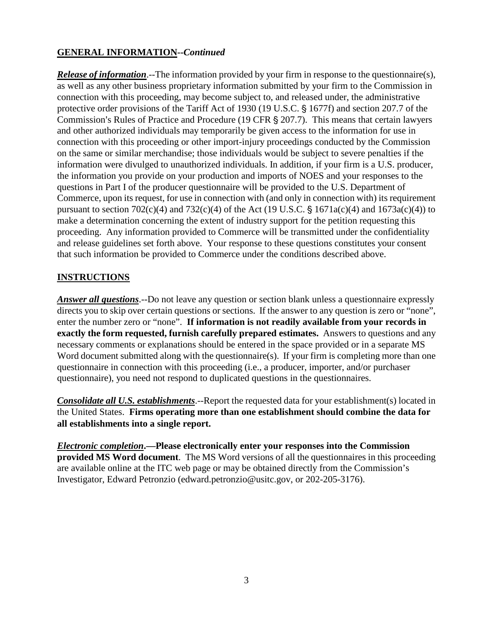## **GENERAL INFORMATION--***Continued*

*Release of information*.--The information provided by your firm in response to the questionnaire(s), as well as any other business proprietary information submitted by your firm to the Commission in connection with this proceeding, may become subject to, and released under, the administrative protective order provisions of the Tariff Act of 1930 (19 U.S.C. § 1677f) and section 207.7 of the Commission's Rules of Practice and Procedure (19 CFR § 207.7). This means that certain lawyers and other authorized individuals may temporarily be given access to the information for use in connection with this proceeding or other import-injury proceedings conducted by the Commission on the same or similar merchandise; those individuals would be subject to severe penalties if the information were divulged to unauthorized individuals. In addition, if your firm is a U.S. producer, the information you provide on your production and imports of NOES and your responses to the questions in Part I of the producer questionnaire will be provided to the U.S. Department of Commerce, upon its request, for use in connection with (and only in connection with) its requirement pursuant to section  $702(c)(4)$  and  $732(c)(4)$  of the Act (19 U.S.C. § 1671a(c)(4) and 1673a(c)(4)) to make a determination concerning the extent of industry support for the petition requesting this proceeding. Any information provided to Commerce will be transmitted under the confidentiality and release guidelines set forth above. Your response to these questions constitutes your consent that such information be provided to Commerce under the conditions described above.

## **INSTRUCTIONS**

*Answer all questions*.--Do not leave any question or section blank unless a questionnaire expressly directs you to skip over certain questions or sections. If the answer to any question is zero or "none", enter the number zero or "none". **If information is not readily available from your records in exactly the form requested, furnish carefully prepared estimates.** Answers to questions and any necessary comments or explanations should be entered in the space provided or in a separate MS Word document submitted along with the questionnaire(s). If your firm is completing more than one questionnaire in connection with this proceeding (i.e., a producer, importer, and/or purchaser questionnaire), you need not respond to duplicated questions in the questionnaires.

*Consolidate all U.S. establishments*.--Report the requested data for your establishment(s) located in the United States. **Firms operating more than one establishment should combine the data for all establishments into a single report.**

*Electronic completion***.—Please electronically enter your responses into the Commission provided MS Word document**. The MS Word versions of all the questionnaires in this proceeding are available online at the ITC web page or may be obtained directly from the Commission's Investigator, Edward Petronzio (edward.petronzio@usitc.gov, or 202-205-3176).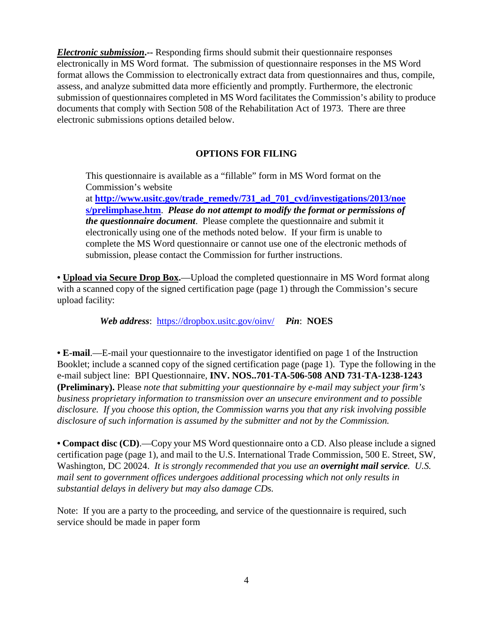*Electronic submission***.--** Responding firms should submit their questionnaire responses electronically in MS Word format. The submission of questionnaire responses in the MS Word format allows the Commission to electronically extract data from questionnaires and thus, compile, assess, and analyze submitted data more efficiently and promptly. Furthermore, the electronic submission of questionnaires completed in MS Word facilitates the Commission's ability to produce documents that comply with Section 508 of the Rehabilitation Act of 1973. There are three electronic submissions options detailed below.

## **OPTIONS FOR FILING**

This questionnaire is available as a "fillable" form in MS Word format on the Commission's website

at **[http://www.usitc.gov/trade\\_remedy/731\\_ad\\_701\\_cvd/investigations/2013/noe](http://www.usitc.gov/trade_remedy/731_ad_701_cvd/investigations/2013/noes/prelimphase.htm) [s/prelimphase.htm](http://www.usitc.gov/trade_remedy/731_ad_701_cvd/investigations/2013/noes/prelimphase.htm)**. *Please do not attempt to modify the format or permissions of the questionnaire document*. Please complete the questionnaire and submit it electronically using one of the methods noted below. If your firm is unable to complete the MS Word questionnaire or cannot use one of the electronic methods of submission, please contact the Commission for further instructions.

• **Upload via Secure Drop Box.**—Upload the completed questionnaire in MS Word format along with a scanned copy of the signed certification page (page 1) through the Commission's secure upload facility:

*Web address*: <https://dropbox.usitc.gov/oinv/> *Pin*: **NOES**

**• E-mail**.—E-mail your questionnaire to the investigator identified on page 1 of the Instruction Booklet; include a scanned copy of the signed certification page (page 1). Type the following in the e-mail subject line: BPI Questionnaire, **INV. NOS..701-TA-506-508 AND 731-TA-1238-1243 (Preliminary).** Please *note that submitting your questionnaire by e-mail may subject your firm's business proprietary information to transmission over an unsecure environment and to possible disclosure. If you choose this option, the Commission warns you that any risk involving possible disclosure of such information is assumed by the submitter and not by the Commission.*

**• Compact disc (CD)**.—Copy your MS Word questionnaire onto a CD. Also please include a signed certification page (page 1), and mail to the U.S. International Trade Commission, 500 E. Street, SW, Washington, DC 20024. *It is strongly recommended that you use an overnight mail service. U.S. mail sent to government offices undergoes additional processing which not only results in substantial delays in delivery but may also damage CDs.*

Note: If you are a party to the proceeding, and service of the questionnaire is required, such service should be made in paper form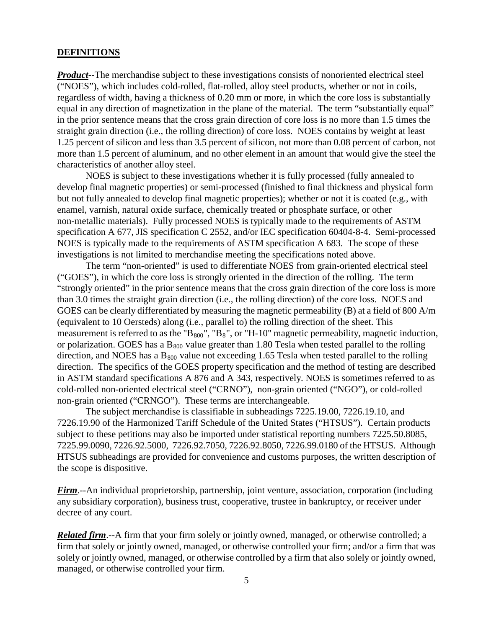#### **DEFINITIONS**

*Product*--The merchandise subject to these investigations consists of nonoriented electrical steel ("NOES"), which includes cold-rolled, flat-rolled, alloy steel products, whether or not in coils, regardless of width, having a thickness of 0.20 mm or more, in which the core loss is substantially equal in any direction of magnetization in the plane of the material. The term "substantially equal" in the prior sentence means that the cross grain direction of core loss is no more than 1.5 times the straight grain direction (i.e., the rolling direction) of core loss. NOES contains by weight at least 1.25 percent of silicon and less than 3.5 percent of silicon, not more than 0.08 percent of carbon, not more than 1.5 percent of aluminum, and no other element in an amount that would give the steel the characteristics of another alloy steel.

NOES is subject to these investigations whether it is fully processed (fully annealed to develop final magnetic properties) or semi-processed (finished to final thickness and physical form but not fully annealed to develop final magnetic properties); whether or not it is coated (e.g., with enamel, varnish, natural oxide surface, chemically treated or phosphate surface, or other non-metallic materials). Fully processed NOES is typically made to the requirements of ASTM specification A 677, JIS specification C 2552, and/or IEC specification 60404-8-4. Semi-processed NOES is typically made to the requirements of ASTM specification A 683. The scope of these investigations is not limited to merchandise meeting the specifications noted above.

The term "non-oriented" is used to differentiate NOES from grain-oriented electrical steel ("GOES"), in which the core loss is strongly oriented in the direction of the rolling. The term "strongly oriented" in the prior sentence means that the cross grain direction of the core loss is more than 3.0 times the straight grain direction (i.e., the rolling direction) of the core loss. NOES and GOES can be clearly differentiated by measuring the magnetic permeability (B) at a field of 800 A/m (equivalent to 10 Oersteds) along (i.e., parallel to) the rolling direction of the sheet. This measurement is referred to as the " $B_{800}$ ", " $B_8$ ", or "H-10" magnetic permeability, magnetic induction, or polarization. GOES has a  $B_{800}$  value greater than 1.80 Tesla when tested parallel to the rolling direction, and NOES has a  $B_{800}$  value not exceeding 1.65 Tesla when tested parallel to the rolling direction. The specifics of the GOES property specification and the method of testing are described in ASTM standard specifications A 876 and A 343, respectively. NOES is sometimes referred to as cold-rolled non-oriented electrical steel ("CRNO"), non-grain oriented ("NGO"), or cold-rolled non-grain oriented ("CRNGO"). These terms are interchangeable.

The subject merchandise is classifiable in subheadings 7225.19.00, 7226.19.10, and 7226.19.90 of the Harmonized Tariff Schedule of the United States ("HTSUS"). Certain products subject to these petitions may also be imported under statistical reporting numbers 7225.50.8085, 7225.99.0090, 7226.92.5000, 7226.92.7050, 7226.92.8050, 7226.99.0180 of the HTSUS. Although HTSUS subheadings are provided for convenience and customs purposes, the written description of the scope is dispositive.

*Firm*.--An individual proprietorship, partnership, joint venture, association, corporation (including any subsidiary corporation), business trust, cooperative, trustee in bankruptcy, or receiver under decree of any court.

*Related firm*.--A firm that your firm solely or jointly owned, managed, or otherwise controlled; a firm that solely or jointly owned, managed, or otherwise controlled your firm; and/or a firm that was solely or jointly owned, managed, or otherwise controlled by a firm that also solely or jointly owned, managed, or otherwise controlled your firm.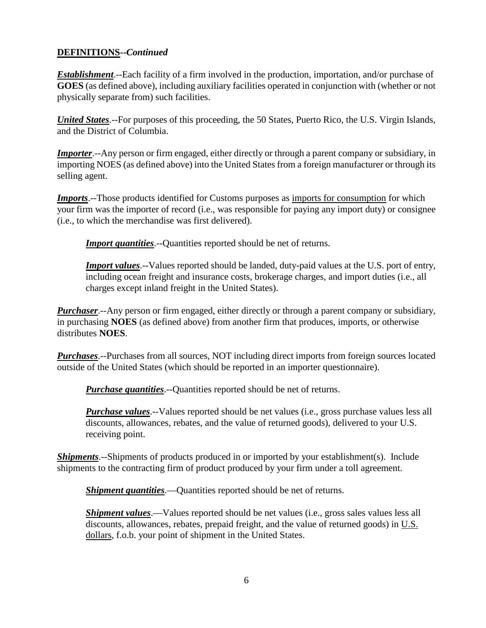## **DEFINITIONS--***Continued*

*Establishment*.--Each facility of a firm involved in the production, importation, and/or purchase of **GOES** (as defined above), including auxiliary facilities operated in conjunction with (whether or not physically separate from) such facilities.

*United States*.--For purposes of this proceeding, the 50 States, Puerto Rico, the U.S. Virgin Islands, and the District of Columbia.

*Importer.*--Any person or firm engaged, either directly or through a parent company or subsidiary, in importing NOES (as defined above) into the United States from a foreign manufacturer or through its selling agent.

*Imports*.--Those products identified for Customs purposes as imports for consumption for which your firm was the importer of record (i.e., was responsible for paying any import duty) or consignee (i.e., to which the merchandise was first delivered).

*Import quantities*.--Quantities reported should be net of returns.

*Import values*.--Values reported should be landed, duty-paid values at the U.S. port of entry, including ocean freight and insurance costs, brokerage charges, and import duties (i.e., all charges except inland freight in the United States).

*Purchaser*.--Any person or firm engaged, either directly or through a parent company or subsidiary, in purchasing **NOES** (as defined above) from another firm that produces, imports, or otherwise distributes **NOES**.

*Purchases*.--Purchases from all sources, NOT including direct imports from foreign sources located outside of the United States (which should be reported in an importer questionnaire).

*Purchase quantities*.--Quantities reported should be net of returns.

*Purchase values*.--Values reported should be net values (i.e., gross purchase values less all discounts, allowances, rebates, and the value of returned goods), delivered to your U.S. receiving point.

**Shipments**.--Shipments of products produced in or imported by your establishment(s). Include shipments to the contracting firm of product produced by your firm under a toll agreement.

*Shipment quantities*.—Quantities reported should be net of returns.

*Shipment values*.—Values reported should be net values (i.e., gross sales values less all discounts, allowances, rebates, prepaid freight, and the value of returned goods) in U.S. dollars, f.o.b. your point of shipment in the United States.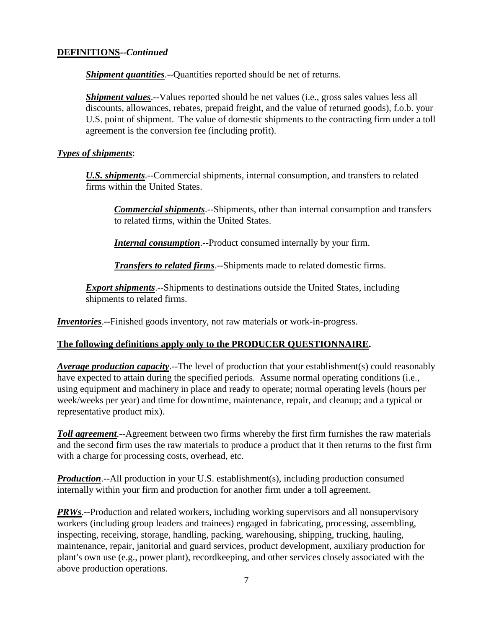## **DEFINITIONS--***Continued*

*Shipment quantities*.--Quantities reported should be net of returns.

*Shipment values*.--Values reported should be net values (i.e., gross sales values less all discounts, allowances, rebates, prepaid freight, and the value of returned goods), f.o.b. your U.S. point of shipment. The value of domestic shipments to the contracting firm under a toll agreement is the conversion fee (including profit).

### *Types of shipments*:

*U.S. shipments*.--Commercial shipments, internal consumption, and transfers to related firms within the United States.

*Commercial shipments*.--Shipments, other than internal consumption and transfers to related firms, within the United States.

*Internal consumption*.--Product consumed internally by your firm.

*Transfers to related firms*.--Shipments made to related domestic firms.

*Export shipments*.--Shipments to destinations outside the United States, including shipments to related firms.

*Inventories*.--Finished goods inventory, not raw materials or work-in-progress.

## **The following definitions apply only to the PRODUCER QUESTIONNAIRE.**

*Average production capacity*.--The level of production that your establishment(s) could reasonably have expected to attain during the specified periods. Assume normal operating conditions (i.e., using equipment and machinery in place and ready to operate; normal operating levels (hours per week/weeks per year) and time for downtime, maintenance, repair, and cleanup; and a typical or representative product mix).

*Toll agreement*.--Agreement between two firms whereby the first firm furnishes the raw materials and the second firm uses the raw materials to produce a product that it then returns to the first firm with a charge for processing costs, overhead, etc.

*Production*.--All production in your U.S. establishment(s), including production consumed internally within your firm and production for another firm under a toll agreement.

*PRWs*.--Production and related workers, including working supervisors and all nonsupervisory workers (including group leaders and trainees) engaged in fabricating, processing, assembling, inspecting, receiving, storage, handling, packing, warehousing, shipping, trucking, hauling, maintenance, repair, janitorial and guard services, product development, auxiliary production for plant's own use (e.g., power plant), recordkeeping, and other services closely associated with the above production operations.